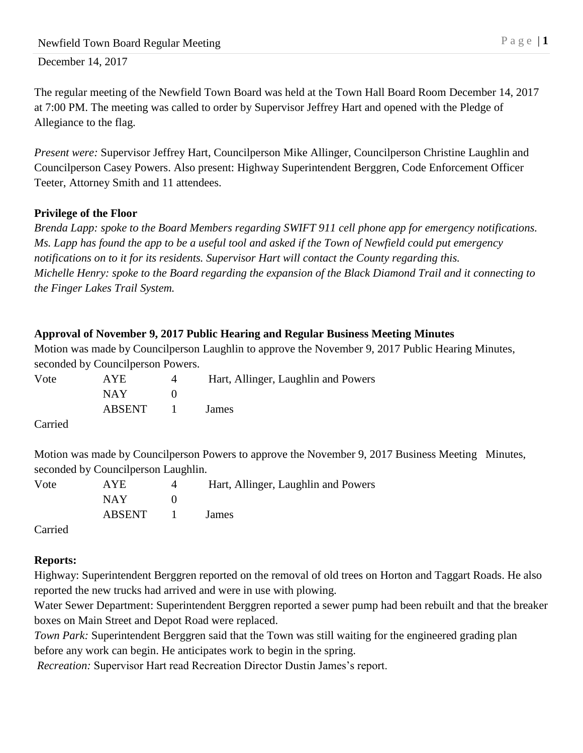The regular meeting of the Newfield Town Board was held at the Town Hall Board Room December 14, 2017 at 7:00 PM. The meeting was called to order by Supervisor Jeffrey Hart and opened with the Pledge of Allegiance to the flag.

*Present were:* Supervisor Jeffrey Hart, Councilperson Mike Allinger, Councilperson Christine Laughlin and Councilperson Casey Powers. Also present: Highway Superintendent Berggren, Code Enforcement Officer Teeter, Attorney Smith and 11 attendees.

# **Privilege of the Floor**

*Brenda Lapp: spoke to the Board Members regarding SWIFT 911 cell phone app for emergency notifications. Ms. Lapp has found the app to be a useful tool and asked if the Town of Newfield could put emergency notifications on to it for its residents. Supervisor Hart will contact the County regarding this. Michelle Henry: spoke to the Board regarding the expansion of the Black Diamond Trail and it connecting to the Finger Lakes Trail System.*

### **Approval of November 9, 2017 Public Hearing and Regular Business Meeting Minutes**

Motion was made by Councilperson Laughlin to approve the November 9, 2017 Public Hearing Minutes, seconded by Councilperson Powers.

| Vote | AYE    |                     | Hart, Allinger, Laughlin and Powers |
|------|--------|---------------------|-------------------------------------|
|      | NAY.   |                     |                                     |
|      | ABSENT | $\sim$ 1.000 $\sim$ | <b>James</b>                        |
|      |        |                     |                                     |

Carried

Motion was made by Councilperson Powers to approve the November 9, 2017 Business Meeting Minutes, seconded by Councilperson Laughlin.

| Vote | AYE.   | Hart, Allinger, Laughlin and Powers |
|------|--------|-------------------------------------|
|      | NAY.   |                                     |
|      | ABSENT | James                               |

Carried

# **Reports:**

Highway: Superintendent Berggren reported on the removal of old trees on Horton and Taggart Roads. He also reported the new trucks had arrived and were in use with plowing.

Water Sewer Department: Superintendent Berggren reported a sewer pump had been rebuilt and that the breaker boxes on Main Street and Depot Road were replaced.

*Town Park:* Superintendent Berggren said that the Town was still waiting for the engineered grading plan before any work can begin. He anticipates work to begin in the spring.

*Recreation:* Supervisor Hart read Recreation Director Dustin James's report.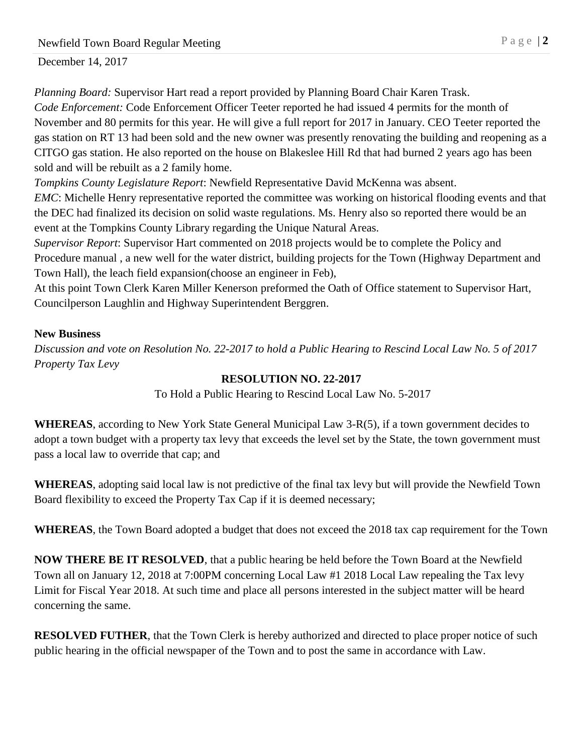*Planning Board:* Supervisor Hart read a report provided by Planning Board Chair Karen Trask.

*Code Enforcement:* Code Enforcement Officer Teeter reported he had issued 4 permits for the month of November and 80 permits for this year. He will give a full report for 2017 in January. CEO Teeter reported the gas station on RT 13 had been sold and the new owner was presently renovating the building and reopening as a CITGO gas station. He also reported on the house on Blakeslee Hill Rd that had burned 2 years ago has been sold and will be rebuilt as a 2 family home.

*Tompkins County Legislature Report*: Newfield Representative David McKenna was absent.

*EMC*: Michelle Henry representative reported the committee was working on historical flooding events and that the DEC had finalized its decision on solid waste regulations. Ms. Henry also so reported there would be an event at the Tompkins County Library regarding the Unique Natural Areas.

*Supervisor Report*: Supervisor Hart commented on 2018 projects would be to complete the Policy and Procedure manual , a new well for the water district, building projects for the Town (Highway Department and Town Hall), the leach field expansion(choose an engineer in Feb),

At this point Town Clerk Karen Miller Kenerson preformed the Oath of Office statement to Supervisor Hart, Councilperson Laughlin and Highway Superintendent Berggren.

# **New Business**

*Discussion and vote on Resolution No. 22-2017 to hold a Public Hearing to Rescind Local Law No. 5 of 2017 Property Tax Levy*

# **RESOLUTION NO. 22-2017**

To Hold a Public Hearing to Rescind Local Law No. 5-2017

**WHEREAS**, according to New York State General Municipal Law 3-R(5), if a town government decides to adopt a town budget with a property tax levy that exceeds the level set by the State, the town government must pass a local law to override that cap; and

**WHEREAS**, adopting said local law is not predictive of the final tax levy but will provide the Newfield Town Board flexibility to exceed the Property Tax Cap if it is deemed necessary;

**WHEREAS**, the Town Board adopted a budget that does not exceed the 2018 tax cap requirement for the Town

**NOW THERE BE IT RESOLVED**, that a public hearing be held before the Town Board at the Newfield Town all on January 12, 2018 at 7:00PM concerning Local Law #1 2018 Local Law repealing the Tax levy Limit for Fiscal Year 2018. At such time and place all persons interested in the subject matter will be heard concerning the same.

**RESOLVED FUTHER**, that the Town Clerk is hereby authorized and directed to place proper notice of such public hearing in the official newspaper of the Town and to post the same in accordance with Law.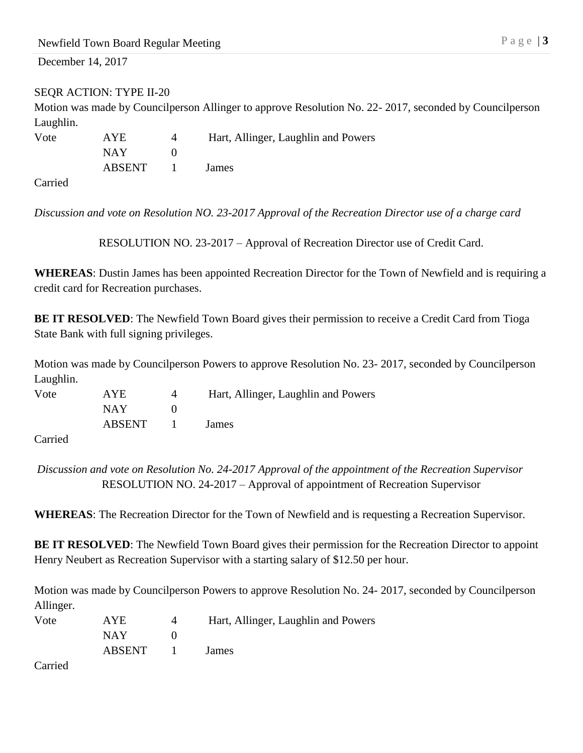### SEQR ACTION: TYPE II-20

Motion was made by Councilperson Allinger to approve Resolution No. 22- 2017, seconded by Councilperson Laughlin.

| Vote   | AYE    |                | Hart, Allinger, Laughlin and Powers |
|--------|--------|----------------|-------------------------------------|
|        | NAY.   |                |                                     |
|        | ABSENT | $\blacksquare$ | James                               |
| $\sim$ |        |                |                                     |

Carried

*Discussion and vote on Resolution NO. 23-2017 Approval of the Recreation Director use of a charge card*

RESOLUTION NO. 23-2017 – Approval of Recreation Director use of Credit Card.

**WHEREAS**: Dustin James has been appointed Recreation Director for the Town of Newfield and is requiring a credit card for Recreation purchases.

**BE IT RESOLVED**: The Newfield Town Board gives their permission to receive a Credit Card from Tioga State Bank with full signing privileges.

Motion was made by Councilperson Powers to approve Resolution No. 23- 2017, seconded by Councilperson Laughlin.

| Vote | AYE.   |              | Hart, Allinger, Laughlin and Powers |
|------|--------|--------------|-------------------------------------|
|      | NAY.   |              |                                     |
|      | ABSENT | $\mathbf{I}$ | James                               |

Carried

*Discussion and vote on Resolution No. 24-2017 Approval of the appointment of the Recreation Supervisor* RESOLUTION NO. 24-2017 – Approval of appointment of Recreation Supervisor

**WHEREAS**: The Recreation Director for the Town of Newfield and is requesting a Recreation Supervisor.

**BE IT RESOLVED:** The Newfield Town Board gives their permission for the Recreation Director to appoint Henry Neubert as Recreation Supervisor with a starting salary of \$12.50 per hour.

Motion was made by Councilperson Powers to approve Resolution No. 24- 2017, seconded by Councilperson Allinger.

| Vote | <b>AYE</b> |                  | Hart, Allinger, Laughlin and Powers |
|------|------------|------------------|-------------------------------------|
|      | NAY .      |                  |                                     |
|      | ABSENT     | and the property | <b>James</b>                        |

Carried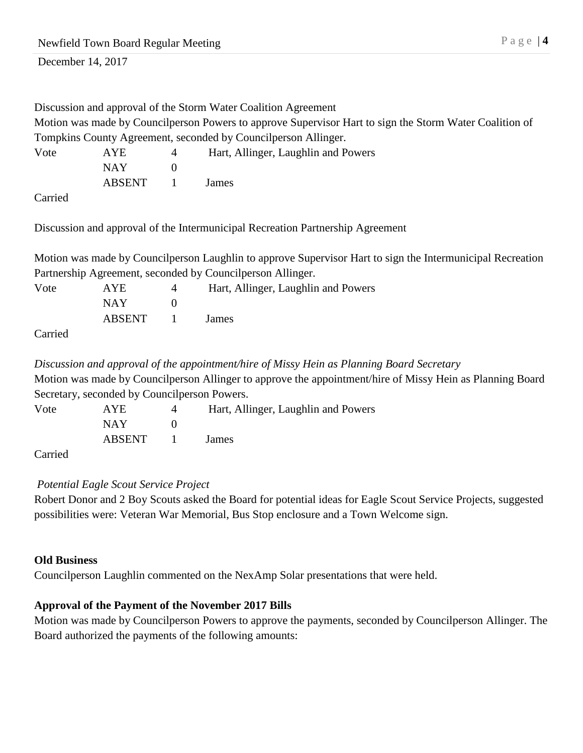Discussion and approval of the Storm Water Coalition Agreement

Motion was made by Councilperson Powers to approve Supervisor Hart to sign the Storm Water Coalition of Tompkins County Agreement, seconded by Councilperson Allinger.

Vote AYE 4 Hart, Allinger, Laughlin and Powers NAY 0 ABSENT 1 James

Carried

Discussion and approval of the Intermunicipal Recreation Partnership Agreement

Motion was made by Councilperson Laughlin to approve Supervisor Hart to sign the Intermunicipal Recreation Partnership Agreement, seconded by Councilperson Allinger.

| Vote        | AYE.   |                  | Hart, Allinger, Laughlin and Powers |
|-------------|--------|------------------|-------------------------------------|
|             | NAY.   |                  |                                     |
|             | ABSENT | and the contract | <b>James</b>                        |
| $C$ orrigal |        |                  |                                     |

Carried

# *Discussion and approval of the appointment/hire of Missy Hein as Planning Board Secretary*

Motion was made by Councilperson Allinger to approve the appointment/hire of Missy Hein as Planning Board Secretary, seconded by Councilperson Powers.

| Vote                 | AYE.   |                 | Hart, Allinger, Laughlin and Powers |
|----------------------|--------|-----------------|-------------------------------------|
|                      | NAY.   |                 |                                     |
|                      | ABSENT | $\sim$ 1 $\sim$ | James                               |
| $\sim$ $\sim$ $\sim$ |        |                 |                                     |

Carried

# *Potential Eagle Scout Service Project*

Robert Donor and 2 Boy Scouts asked the Board for potential ideas for Eagle Scout Service Projects, suggested possibilities were: Veteran War Memorial, Bus Stop enclosure and a Town Welcome sign.

### **Old Business**

Councilperson Laughlin commented on the NexAmp Solar presentations that were held.

### **Approval of the Payment of the November 2017 Bills**

Motion was made by Councilperson Powers to approve the payments, seconded by Councilperson Allinger. The Board authorized the payments of the following amounts: